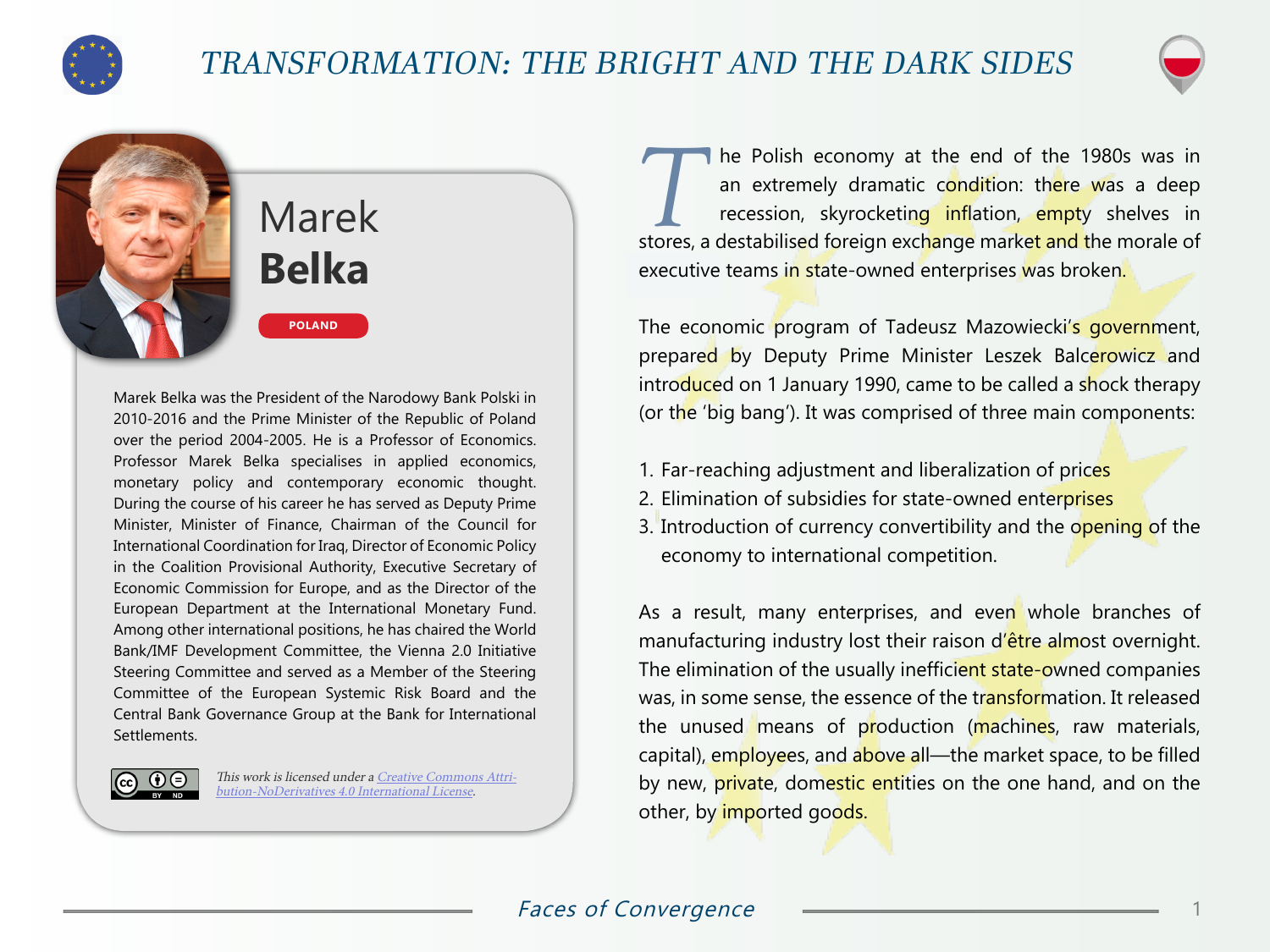

## TRANSFORMATION: THE BRIGHT AND THE DARK SIDES



# Marek **Belka**

**POLAND**

Marek Belka was the President of the Narodowy Bank Polski in 2010-2016 and the Prime Minister of the Republic of Poland over the period 2004-2005. He is a Professor of Economics. Professor Marek Belka specialises in applied economics, monetary policy and contemporary economic thought. During the course of his career he has served as Deputy Prime Minister, Minister of Finance, Chairman of the Council for International Coordination for Iraq, Director of Economic Policy in the Coalition Provisional Authority, Executive Secretary of Economic Commission for Europe, and as the Director of the European Department at the International Monetary Fund. Among other international positions, he has chaired the World Bank/IMF Development Committee, the Vienna 2.0 Initiative Steering Committee and served as a Member of the Steering Committee of the European Systemic Risk Board and the Central Bank Governance Group at the Bank for International Settlements.

> This work is licensed under a [Creative Commons Attri](https://creativecommons.org/licenses/by-nd/4.0/)[bution-NoDerivatives 4.0 International License](https://creativecommons.org/licenses/by-nd/4.0/).

The Polish economy at the end of the 1980s was in<br>
an extremely dramatic condition: there was a deep<br>
recession, skyrocketing inflation, empty shelves in an extremely dramatic condition: there was a deep stores, a destabilised foreign exchange market and the morale of executive teams in state-owned enterprises was broken.

The economic program of Tadeusz Mazowiecki's government, prepared by Deputy Prime Minister Leszek Balcerowicz and introduced on 1 January 1990, came to be called a shock therapy (or the 'big bang'). It was comprised of three main components:

- 1. Far-reaching adjustment and liberalization of prices
- 2. Elimination of subsidies for state-owned enterprises
- 3. Introduction of currency convertibility and the opening of the economy to international competition.

As a result, many enterprises, and even whole branches of manufacturing industry lost their raison d'être almost overnight. The elimination of the usually inefficient state-owned companies was, in some sense, the essence of the transformation. It released the unused means of production (machines, raw materials, capital), employees, and above all—the market space, to be filled by new, private, domestic entities on the one hand, and on the other, by *imported* goods.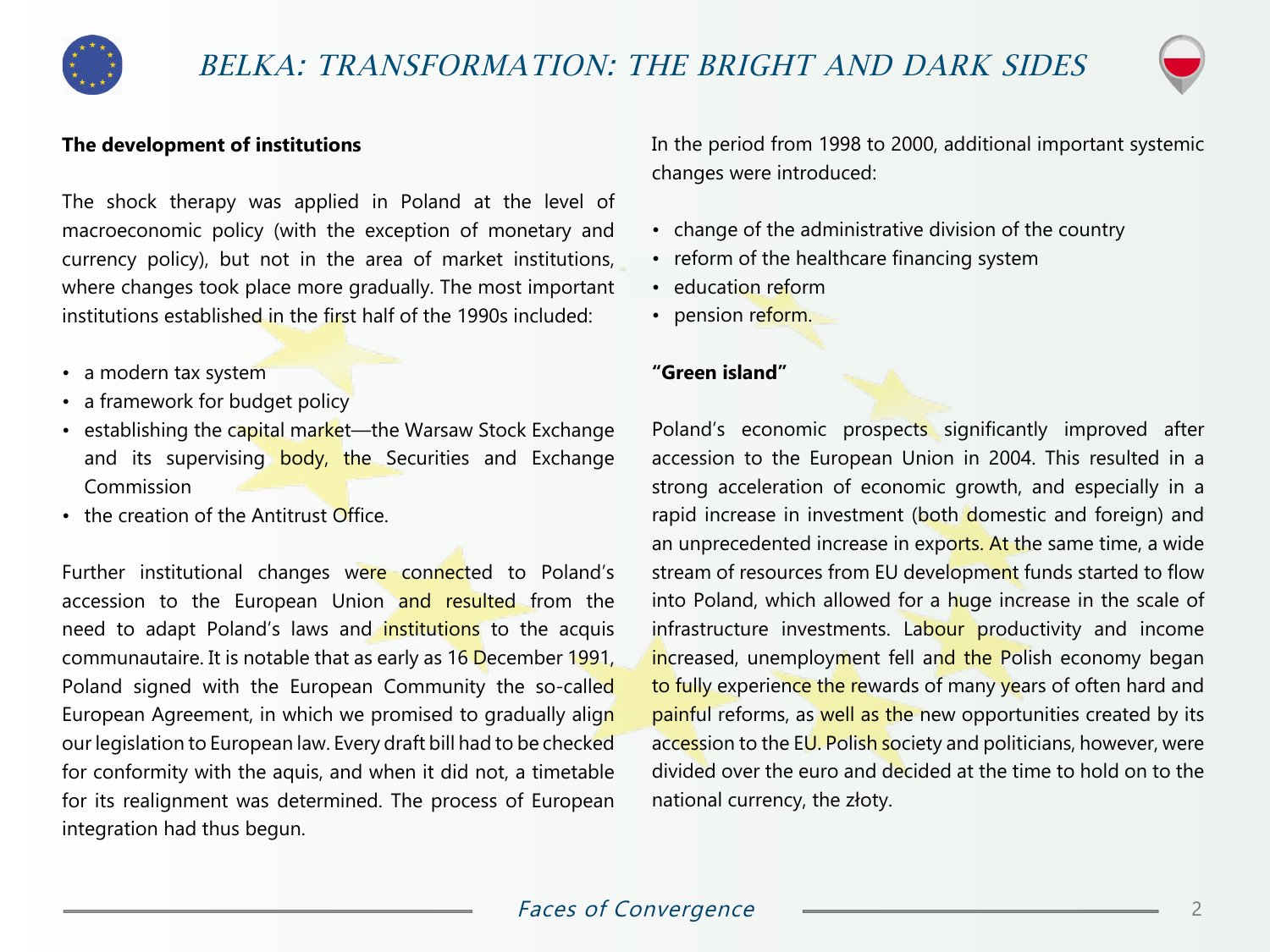



#### **The development of institutions**

The shock therapy was applied in Poland at the level of macroeconomic policy (with the exception of monetary and currency policy), but not in the area of market institutions, where changes took place more gradually. The most important institutions established in the first half of the 1990s included:

- a modern tax system
- a framework for budget policy
- establishing the capital market—the Warsaw Stock Exchange and its supervising body, the Securities and Exchange Commission
- the creation of the Antitrust Office.

Further institutional changes were connected to Poland's accession to the European Union and resulted from the need to adapt Poland's laws and *institutions* to the acquis communautaire. It is notable that as early as 16 December 1991, Poland signed with the European Community the so-called European Agreement, in which we promised to gradually align our legislation to European law. Every draft bill had to be checked for conformity with the aquis, and when it did not, a timetable for its realignment was determined. The process of European integration had thus begun.

In the period from 1998 to 2000, additional important systemic changes were introduced:

- change of the administrative division of the country
- reform of the healthcare financing system
- education reform
- pension reform.

#### **"Green island"**

Poland's economic prospects significantly improved after accession to the European Union in 2004. This resulted in a strong acceleration of economic growth, and especially in a rapid increase in investment (both domestic and foreign) and an unprecedented increase in exports. At the same time, a wide stream of resources from EU development funds started to flow into Poland, which allowed for a huge increase in the scale of infrastructure investments. Labour productivity and income increased, unemployment fell and the Polish economy began to fully experience the rewards of many years of often hard and painful reforms, as well as the new opportunities created by its accession to the EU. Polish society and politicians, however, were divided over the euro and decided at the time to hold on to the national currency, the złoty.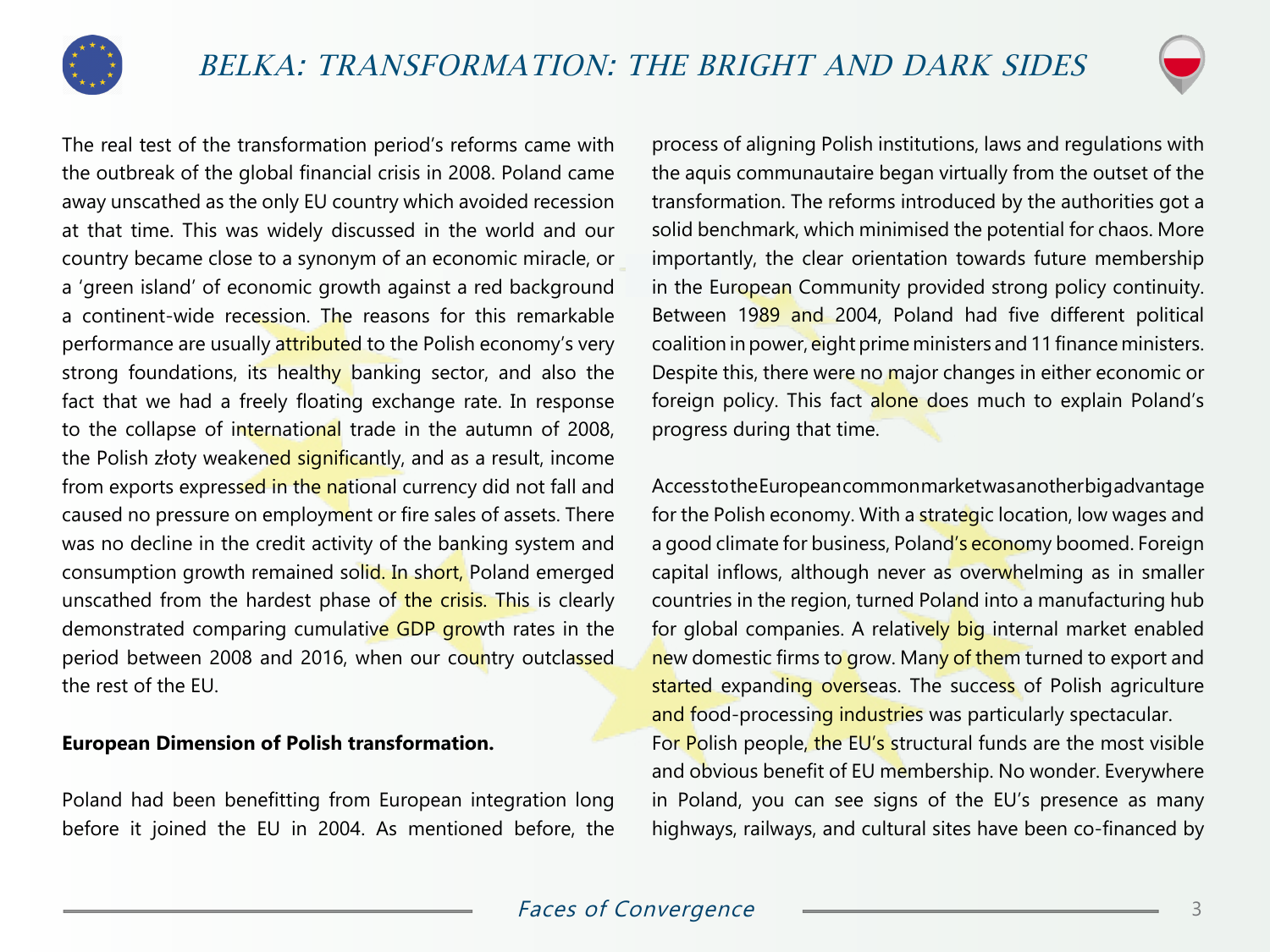



The real test of the transformation period's reforms came with the outbreak of the global financial crisis in 2008. Poland came away unscathed as the only EU country which avoided recession at that time. This was widely discussed in the world and our country became close to a synonym of an economic miracle, or a 'green island' of economic growth against a red background a continent-wide recession. The reasons for this remarkable performance are usually attributed to the Polish economy's very strong foundations, its healthy banking sector, and also the fact that we had a freely floating exchange rate. In response to the collapse of international trade in the autumn of 2008, the Polish złoty weakened significantly, and as a result, income from exports expressed in the national currency did not fall and caused no pressure on employment or fire sales of assets. There was no decline in the credit activity of the banking system and consumption growth remained solid. In short, Poland emerged unscathed from the hardest phase of the crisis. This is clearly demonstrated comparing cumulative GDP growth rates in the period between 2008 and 2016, when our country outclassed the rest of the EU.

#### **European Dimension of Polish transformation.**

Poland had been benefitting from European integration long before it joined the EU in 2004. As mentioned before, the process of aligning Polish institutions, laws and regulations with the aquis communautaire began virtually from the outset of the transformation. The reforms introduced by the authorities got a solid benchmark, which minimised the potential for chaos. More importantly, the clear orientation towards future membership in the European Community provided strong policy continuity. Between 1989 and 2004, Poland had five different political coalition in power, eight prime ministers and 11 finance ministers. Despite this, there were no major changes in either economic or foreign policy. This fact alone does much to explain Poland's progress during that time.

Access to the European common market was another big advantage for the Polish economy. With a strategic location, low wages and a good climate for business, Poland's economy boomed. Foreign capital inflows, although never as overwhelming as in smaller countries in the region, turned Poland into a manufacturing hub for global companies. A relatively big internal market enabled new domestic firms to grow. Many of them turned to export and started expanding overseas. The success of Polish agriculture and food-processing industries was particularly spectacular.

For Polish people, the EU's structural funds are the most visible and obvious benefit of EU membership. No wonder. Everywhere in Poland, you can see signs of the EU's presence as many highways, railways, and cultural sites have been co-financed by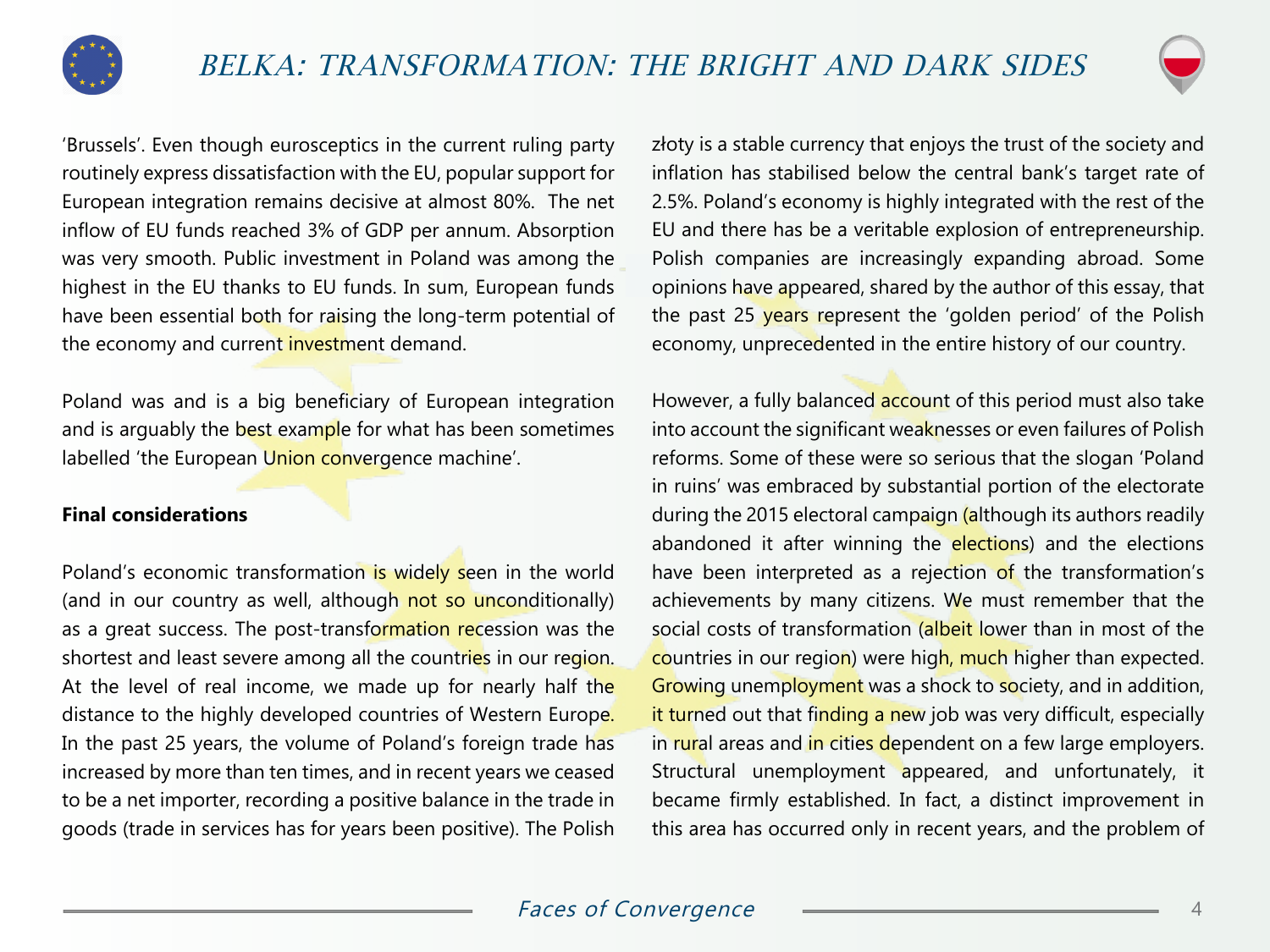



'Brussels'. Even though eurosceptics in the current ruling party routinely express dissatisfaction with the EU, popular support for European integration remains decisive at almost 80%. The net inflow of EU funds reached 3% of GDP per annum. Absorption was very smooth. Public investment in Poland was among the highest in the EU thanks to EU funds. In sum, European funds have been essential both for raising the long-term potential of the economy and current investment demand.

Poland was and is a big beneficiary of European integration and is arguably the best example for what has been sometimes labelled 'the European Union convergence machine'.

#### **Final considerations**

Poland's economic transformation is widely seen in the world (and in our country as well, although not so unconditionally) as a great success. The post-transformation recession was the shortest and least severe among all the countries in our region. At the level of real income, we made up for nearly half the distance to the highly developed countries of Western Europe. In the past 25 years, the volume of Poland's foreign trade has increased by more than ten times, and in recent years we ceased to be a net importer, recording a positive balance in the trade in goods (trade in services has for years been positive). The Polish

złoty is a stable currency that enjoys the trust of the society and inflation has stabilised below the central bank's target rate of 2.5%. Poland's economy is highly integrated with the rest of the EU and there has be a veritable explosion of entrepreneurship. Polish companies are increasingly expanding abroad. Some opinions have appeared, shared by the author of this essay, that the past 25 years represent the 'golden period' of the Polish economy, unprecedented in the entire history of our country.

However, a fully balanced **account** of this period must also take into account the significant weaknesses or even failures of Polish reforms. Some of these were so serious that the slogan 'Poland in ruins' was embraced by substantial portion of the electorate during the 2015 electoral campaign (although its authors readily abandoned it after winning the elections) and the elections have been interpreted as a rejection of the transformation's achievements by many citizens. We must remember that the social costs of transformation (albeit lower than in most of the countries in our region) were high, much higher than expected. Growing unemployment was a shock to society, and in addition, it turned out that finding a new job was very difficult, especially in rural areas and in cities dependent on a few large employers. Structural unemployment appeared, and unfortunately, it became firmly established. In fact, a distinct improvement in this area has occurred only in recent years, and the problem of